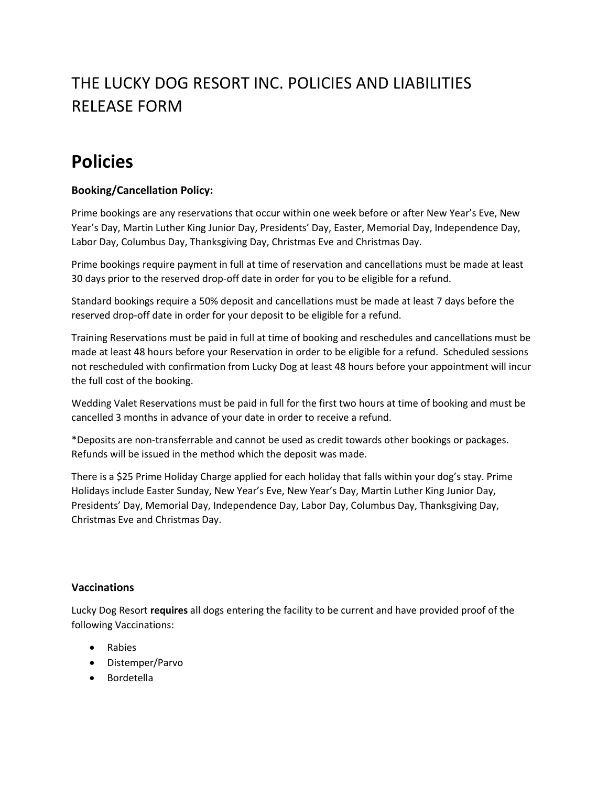## THE LUCKY DOG RESORT INC. POLICIES AND LIABILITIES RELEASE FORM

# **Policies**

## **Booking/Cancellation Policy:**

Prime bookings are any reservations that occur within one week before or after New Year's Eve, New Year's Day, Martin Luther King Junior Day, Presidents' Day, Easter, Memorial Day, Independence Day, Labor Day, Columbus Day, Thanksgiving Day, Christmas Eve and Christmas Day.

Prime bookings require payment in full at time of reservation and cancellations must be made at least 30 days prior to the reserved drop-off date in order for you to be eligible for a refund.

Standard bookings require a 50% deposit and cancellations must be made at least 7 days before the reserved drop-off date in order for your deposit to be eligible for a refund.

Training Reservations must be paid in full at time of booking and reschedules and cancellations must be made at least 48 hours before your Reservation in order to be eligible for a refund. Scheduled sessions not rescheduled with confirmation from Lucky Dog at least 48 hours before your appointment will incur the full cost of the booking.

Wedding Valet Reservations must be paid in full for the first two hours at time of booking and must be cancelled 3 months in advance of your date in order to receive a refund.

\*Deposits are non-transferrable and cannot be used as credit towards other bookings or packages. Refunds will be issued in the method which the deposit was made.

There is a \$25 Prime Holiday Charge applied for each holiday that falls within your dog's stay. Prime Holidays include Easter Sunday, New Year's Eve, New Year's Day, Martin Luther King Junior Day, Presidents' Day, Memorial Day, Independence Day, Labor Day, Columbus Day, Thanksgiving Day, Christmas Eve and Christmas Day.

#### **Vaccinations**

Lucky Dog Resort **requires** all dogs entering the facility to be current and have provided proof of the following Vaccinations:

- Rabies
- Distemper/Parvo
- Bordetella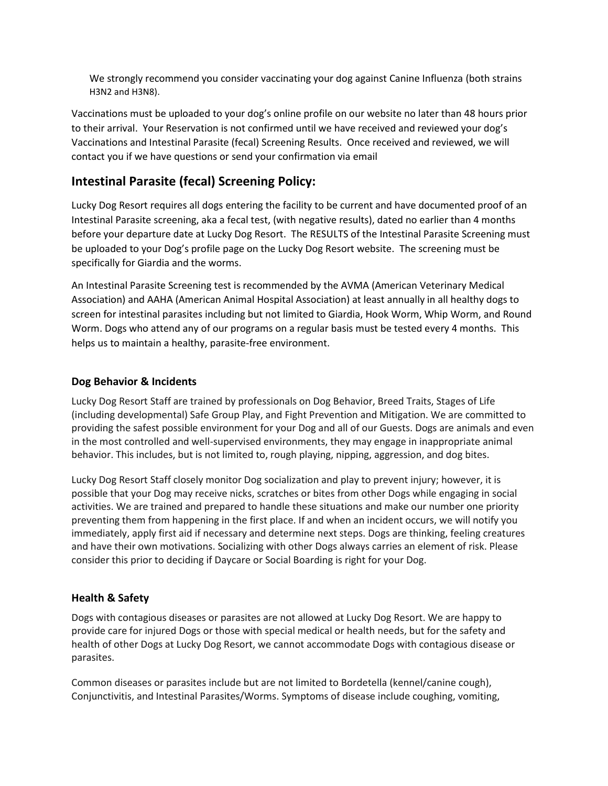We strongly recommend you consider vaccinating your dog against Canine Influenza (both strains H3N2 and H3N8).

Vaccinations must be uploaded to your dog's online profile on our website no later than 48 hours prior to their arrival. Your Reservation is not confirmed until we have received and reviewed your dog's Vaccinations and Intestinal Parasite (fecal) Screening Results. Once received and reviewed, we will contact you if we have questions or send your confirmation via email

## **Intestinal Parasite (fecal) Screening Policy:**

Lucky Dog Resort requires all dogs entering the facility to be current and have documented proof of an Intestinal Parasite screening, aka a fecal test, (with negative results), dated no earlier than 4 months before your departure date at Lucky Dog Resort. The RESULTS of the Intestinal Parasite Screening must be uploaded to your Dog's profile page on the Lucky Dog Resort website. The screening must be specifically for Giardia and the worms.

An Intestinal Parasite Screening test is recommended by the AVMA (American Veterinary Medical Association) and AAHA (American Animal Hospital Association) at least annually in all healthy dogs to screen for intestinal parasites including but not limited to Giardia, Hook Worm, Whip Worm, and Round Worm. Dogs who attend any of our programs on a regular basis must be tested every 4 months. This helps us to maintain a healthy, parasite-free environment.

### **Dog Behavior & Incidents**

Lucky Dog Resort Staff are trained by professionals on Dog Behavior, Breed Traits, Stages of Life (including developmental) Safe Group Play, and Fight Prevention and Mitigation. We are committed to providing the safest possible environment for your Dog and all of our Guests. Dogs are animals and even in the most controlled and well-supervised environments, they may engage in inappropriate animal behavior. This includes, but is not limited to, rough playing, nipping, aggression, and dog bites.

Lucky Dog Resort Staff closely monitor Dog socialization and play to prevent injury; however, it is possible that your Dog may receive nicks, scratches or bites from other Dogs while engaging in social activities. We are trained and prepared to handle these situations and make our number one priority preventing them from happening in the first place. If and when an incident occurs, we will notify you immediately, apply first aid if necessary and determine next steps. Dogs are thinking, feeling creatures and have their own motivations. Socializing with other Dogs always carries an element of risk. Please consider this prior to deciding if Daycare or Social Boarding is right for your Dog.

## **Health & Safety**

Dogs with contagious diseases or parasites are not allowed at Lucky Dog Resort. We are happy to provide care for injured Dogs or those with special medical or health needs, but for the safety and health of other Dogs at Lucky Dog Resort, we cannot accommodate Dogs with contagious disease or parasites.

Common diseases or parasites include but are not limited to Bordetella (kennel/canine cough), Conjunctivitis, and Intestinal Parasites/Worms. Symptoms of disease include coughing, vomiting,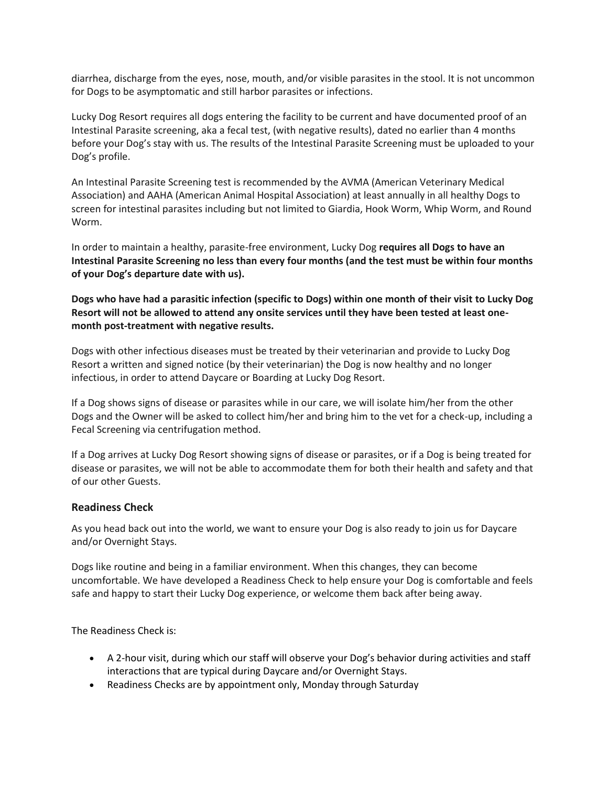diarrhea, discharge from the eyes, nose, mouth, and/or visible parasites in the stool. It is not uncommon for Dogs to be asymptomatic and still harbor parasites or infections.

Lucky Dog Resort requires all dogs entering the facility to be current and have documented proof of an Intestinal Parasite screening, aka a fecal test, (with negative results), dated no earlier than 4 months before your Dog's stay with us. The results of the Intestinal Parasite Screening must be uploaded to your Dog's profile.

An Intestinal Parasite Screening test is recommended by the AVMA (American Veterinary Medical Association) and AAHA (American Animal Hospital Association) at least annually in all healthy Dogs to screen for intestinal parasites including but not limited to Giardia, Hook Worm, Whip Worm, and Round Worm.

In order to maintain a healthy, parasite-free environment, Lucky Dog **requires all Dogs to have an Intestinal Parasite Screening no less than every four months (and the test must be within four months of your Dog's departure date with us).**

**Dogs who have had a parasitic infection (specific to Dogs) within one month of their visit to Lucky Dog Resort will not be allowed to attend any onsite services until they have been tested at least onemonth post-treatment with negative results.**

Dogs with other infectious diseases must be treated by their veterinarian and provide to Lucky Dog Resort a written and signed notice (by their veterinarian) the Dog is now healthy and no longer infectious, in order to attend Daycare or Boarding at Lucky Dog Resort.

If a Dog shows signs of disease or parasites while in our care, we will isolate him/her from the other Dogs and the Owner will be asked to collect him/her and bring him to the vet for a check-up, including a Fecal Screening via centrifugation method.

If a Dog arrives at Lucky Dog Resort showing signs of disease or parasites, or if a Dog is being treated for disease or parasites, we will not be able to accommodate them for both their health and safety and that of our other Guests.

#### **Readiness Check**

As you head back out into the world, we want to ensure your Dog is also ready to join us for Daycare and/or Overnight Stays.

Dogs like routine and being in a familiar environment. When this changes, they can become uncomfortable. We have developed a Readiness Check to help ensure your Dog is comfortable and feels safe and happy to start their Lucky Dog experience, or welcome them back after being away.

The Readiness Check is:

- A 2-hour visit, during which our staff will observe your Dog's behavior during activities and staff interactions that are typical during Daycare and/or Overnight Stays.
- Readiness Checks are by appointment only, Monday through Saturday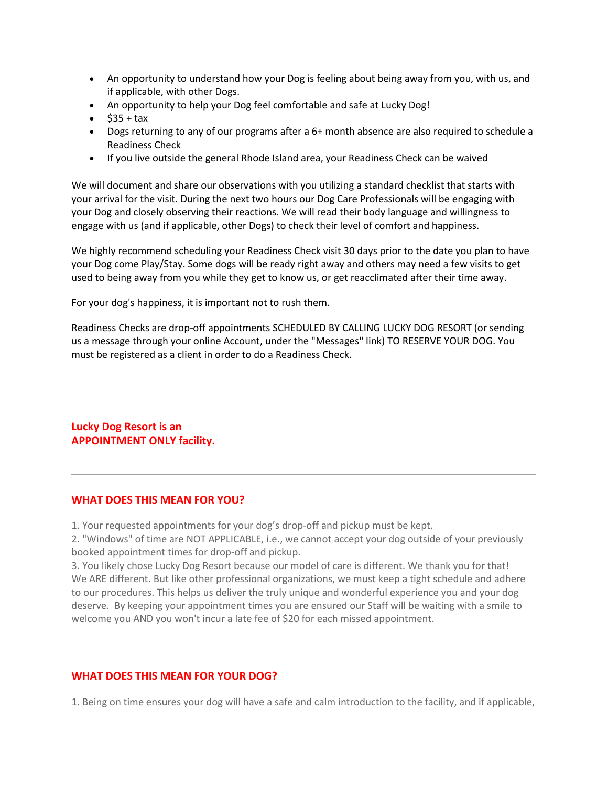- An opportunity to understand how your Dog is feeling about being away from you, with us, and if applicable, with other Dogs.
- An opportunity to help your Dog feel comfortable and safe at Lucky Dog!
- $$35 + tax$
- Dogs returning to any of our programs after a 6+ month absence are also required to schedule a Readiness Check
- If you live outside the general Rhode Island area, your Readiness Check can be waived

We will document and share our observations with you utilizing a standard checklist that starts with your arrival for the visit. During the next two hours our Dog Care Professionals will be engaging with your Dog and closely observing their reactions. We will read their body language and willingness to engage with us (and if applicable, other Dogs) to check their level of comfort and happiness.

We highly recommend scheduling your Readiness Check visit 30 days prior to the date you plan to have your Dog come Play/Stay. Some dogs will be ready right away and others may need a few visits to get used to being away from you while they get to know us, or get reacclimated after their time away.

For your dog's happiness, it is important not to rush them.

Readiness Checks are drop-off appointments SCHEDULED BY [CALLING](tel:+14018350680) LUCKY DOG RESORT (or sending us a message through your online Account, under the "Messages" link) TO RESERVE YOUR DOG. You must be registered as a client in order to do a Readiness Check.

**Lucky Dog Resort is an APPOINTMENT ONLY facility.**

#### **WHAT DOES THIS MEAN FOR YOU?**

1. Your requested appointments for your dog's drop-off and pickup must be kept.

2. "Windows" of time are NOT APPLICABLE, i.e., we cannot accept your dog outside of your previously booked appointment times for drop-off and pickup.

3. You likely chose Lucky Dog Resort because our model of care is different. We thank you for that! We ARE different. But like other professional organizations, we must keep a tight schedule and adhere to our procedures. This helps us deliver the truly unique and wonderful experience you and your dog deserve. By keeping your appointment times you are ensured our Staff will be waiting with a smile to welcome you AND you won't incur a late fee of \$20 for each missed appointment.

#### **WHAT DOES THIS MEAN FOR YOUR DOG?**

1. Being on time ensures your dog will have a safe and calm introduction to the facility, and if applicable,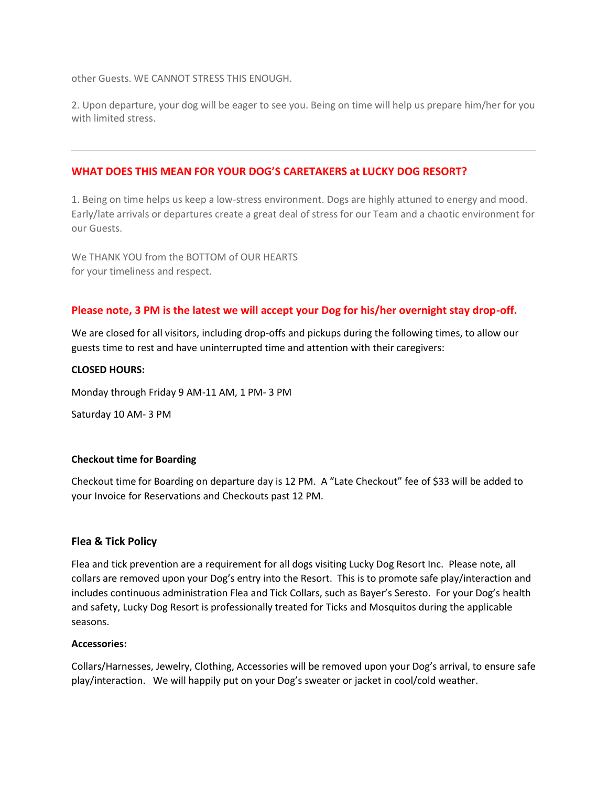other Guests. WE CANNOT STRESS THIS ENOUGH.

2. Upon departure, your dog will be eager to see you. Being on time will help us prepare him/her for you with limited stress.

#### **WHAT DOES THIS MEAN FOR YOUR DOG'S CARETAKERS at LUCKY DOG RESORT?**

1. Being on time helps us keep a low-stress environment. Dogs are highly attuned to energy and mood. Early/late arrivals or departures create a great deal of stress for our Team and a chaotic environment for our Guests.

We THANK YOU from the BOTTOM of OUR HEARTS for your timeliness and respect.

#### **Please note, 3 PM is the latest we will accept your Dog for his/her overnight stay drop-off.**

We are closed for all visitors, including drop-offs and pickups during the following times, to allow our guests time to rest and have uninterrupted time and attention with their caregivers:

#### **CLOSED HOURS:**

Monday through Friday 9 AM-11 AM, 1 PM- 3 PM

Saturday 10 AM- 3 PM

#### **Checkout time for Boarding**

Checkout time for Boarding on departure day is 12 PM. A "Late Checkout" fee of \$33 will be added to your Invoice for Reservations and Checkouts past 12 PM.

#### **Flea & Tick Policy**

Flea and tick prevention are a requirement for all dogs visiting Lucky Dog Resort Inc. Please note, all collars are removed upon your Dog's entry into the Resort. This is to promote safe play/interaction and includes continuous administration Flea and Tick Collars, such as Bayer's Seresto. For your Dog's health and safety, Lucky Dog Resort is professionally treated for Ticks and Mosquitos during the applicable seasons.

#### **Accessories:**

Collars/Harnesses, Jewelry, Clothing, Accessories will be removed upon your Dog's arrival, to ensure safe play/interaction. We will happily put on your Dog's sweater or jacket in cool/cold weather.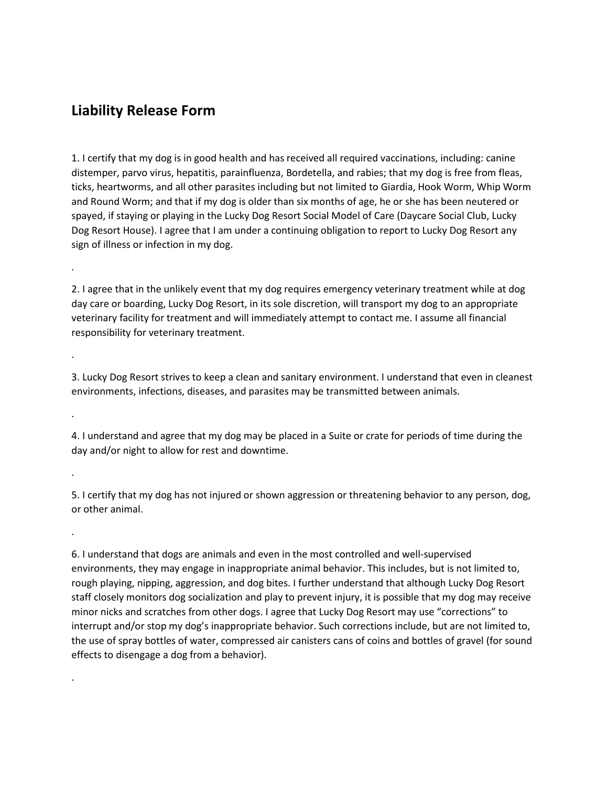## **Liability Release Form**

.

.

.

.

.

.

1. I certify that my dog is in good health and has received all required vaccinations, including: canine distemper, parvo virus, hepatitis, parainfluenza, Bordetella, and rabies; that my dog is free from fleas, ticks, heartworms, and all other parasites including but not limited to Giardia, Hook Worm, Whip Worm and Round Worm; and that if my dog is older than six months of age, he or she has been neutered or spayed, if staying or playing in the Lucky Dog Resort Social Model of Care (Daycare Social Club, Lucky Dog Resort House). I agree that I am under a continuing obligation to report to Lucky Dog Resort any sign of illness or infection in my dog.

2. I agree that in the unlikely event that my dog requires emergency veterinary treatment while at dog day care or boarding, Lucky Dog Resort, in its sole discretion, will transport my dog to an appropriate veterinary facility for treatment and will immediately attempt to contact me. I assume all financial responsibility for veterinary treatment.

3. Lucky Dog Resort strives to keep a clean and sanitary environment. I understand that even in cleanest environments, infections, diseases, and parasites may be transmitted between animals.

4. I understand and agree that my dog may be placed in a Suite or crate for periods of time during the day and/or night to allow for rest and downtime.

5. I certify that my dog has not injured or shown aggression or threatening behavior to any person, dog, or other animal.

6. I understand that dogs are animals and even in the most controlled and well-supervised environments, they may engage in inappropriate animal behavior. This includes, but is not limited to, rough playing, nipping, aggression, and dog bites. I further understand that although Lucky Dog Resort staff closely monitors dog socialization and play to prevent injury, it is possible that my dog may receive minor nicks and scratches from other dogs. I agree that Lucky Dog Resort may use "corrections" to interrupt and/or stop my dog's inappropriate behavior. Such corrections include, but are not limited to, the use of spray bottles of water, compressed air canisters cans of coins and bottles of gravel (for sound effects to disengage a dog from a behavior).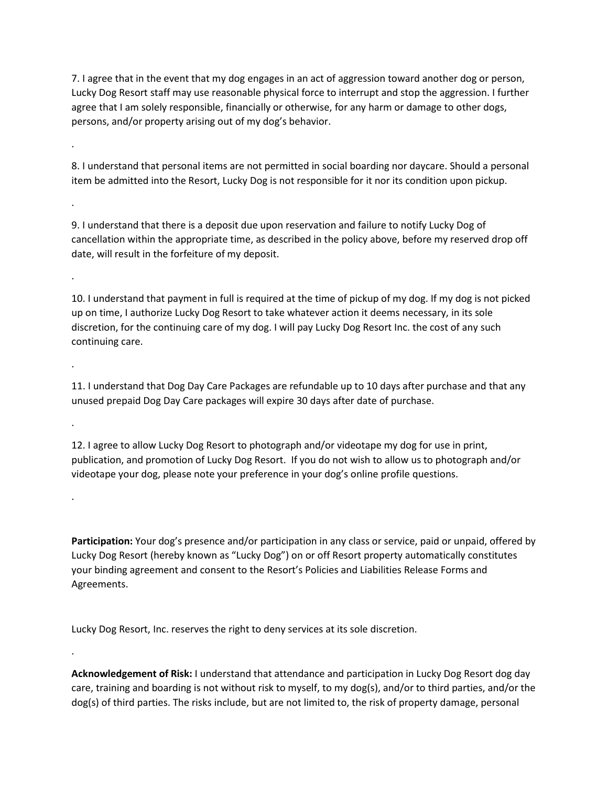7. I agree that in the event that my dog engages in an act of aggression toward another dog or person, Lucky Dog Resort staff may use reasonable physical force to interrupt and stop the aggression. I further agree that I am solely responsible, financially or otherwise, for any harm or damage to other dogs, persons, and/or property arising out of my dog's behavior.

8. I understand that personal items are not permitted in social boarding nor daycare. Should a personal item be admitted into the Resort, Lucky Dog is not responsible for it nor its condition upon pickup.

.

.

.

.

.

.

.

9. I understand that there is a deposit due upon reservation and failure to notify Lucky Dog of cancellation within the appropriate time, as described in the policy above, before my reserved drop off date, will result in the forfeiture of my deposit.

10. I understand that payment in full is required at the time of pickup of my dog. If my dog is not picked up on time, I authorize Lucky Dog Resort to take whatever action it deems necessary, in its sole discretion, for the continuing care of my dog. I will pay Lucky Dog Resort Inc. the cost of any such continuing care.

11. I understand that Dog Day Care Packages are refundable up to 10 days after purchase and that any unused prepaid Dog Day Care packages will expire 30 days after date of purchase.

12. I agree to allow Lucky Dog Resort to photograph and/or videotape my dog for use in print, publication, and promotion of Lucky Dog Resort. If you do not wish to allow us to photograph and/or videotape your dog, please note your preference in your dog's online profile questions.

**Participation:** Your dog's presence and/or participation in any class or service, paid or unpaid, offered by Lucky Dog Resort (hereby known as "Lucky Dog") on or off Resort property automatically constitutes your binding agreement and consent to the Resort's Policies and Liabilities Release Forms and Agreements.

Lucky Dog Resort, Inc. reserves the right to deny services at its sole discretion.

**Acknowledgement of Risk:** I understand that attendance and participation in Lucky Dog Resort dog day care, training and boarding is not without risk to myself, to my dog(s), and/or to third parties, and/or the dog(s) of third parties. The risks include, but are not limited to, the risk of property damage, personal